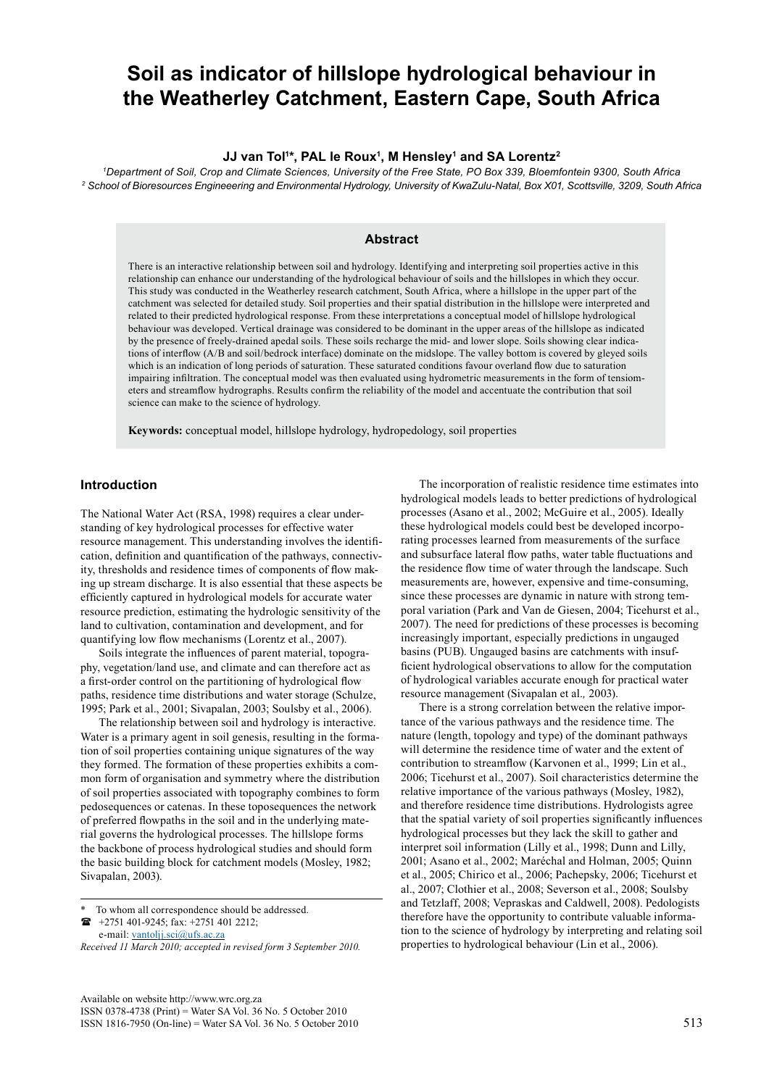# **Soil as indicator of hillslope hydrological behaviour in the Weatherley Catchment, Eastern Cape, South Africa**

### **JJ van Tol1 \*, PAL le Roux1 , M Hensley1 and SA Lorentz2**

*1 Department of Soil, Crop and Climate Sciences, University of the Free State, PO Box 339, Bloemfontein 9300, South Africa 2 School of Bioresources Engineeering and Environmental Hydrology, University of KwaZulu-Natal, Box X01, Scottsville, 3209, South Africa*

# **Abstract**

There is an interactive relationship between soil and hydrology. Identifying and interpreting soil properties active in this relationship can enhance our understanding of the hydrological behaviour of soils and the hillslopes in which they occur. This study was conducted in the Weatherley research catchment, South Africa, where a hillslope in the upper part of the catchment was selected for detailed study. Soil properties and their spatial distribution in the hillslope were interpreted and related to their predicted hydrological response. From these interpretations a conceptual model of hillslope hydrological behaviour was developed. Vertical drainage was considered to be dominant in the upper areas of the hillslope as indicated by the presence of freely-drained apedal soils. These soils recharge the mid- and lower slope. Soils showing clear indications of interflow (A/B and soil/bedrock interface) dominate on the midslope. The valley bottom is covered by gleyed soils which is an indication of long periods of saturation. These saturated conditions favour overland flow due to saturation impairing infiltration. The conceptual model was then evaluated using hydrometric measurements in the form of tensiometers and streamflow hydrographs. Results confirm the reliability of the model and accentuate the contribution that soil science can make to the science of hydrology.

**Keywords:** conceptual model, hillslope hydrology, hydropedology, soil properties

# **Introduction**

The National Water Act (RSA, 1998) requires a clear understanding of key hydrological processes for effective water resource management. This understanding involves the identification, definition and quantification of the pathways, connectivity, thresholds and residence times of components of flow making up stream discharge. It is also essential that these aspects be efficiently captured in hydrological models for accurate water resource prediction, estimating the hydrologic sensitivity of the land to cultivation, contamination and development, and for quantifying low flow mechanisms (Lorentz et al., 2007).

Soils integrate the influences of parent material, topography, vegetation/land use, and climate and can therefore act as a first-order control on the partitioning of hydrological flow paths, residence time distributions and water storage (Schulze, 1995; Park et al., 2001; Sivapalan, 2003; Soulsby et al., 2006).

The relationship between soil and hydrology is interactive. Water is a primary agent in soil genesis, resulting in the formation of soil properties containing unique signatures of the way they formed. The formation of these properties exhibits a common form of organisation and symmetry where the distribution of soil properties associated with topography combines to form pedosequences or catenas. In these toposequences the network of preferred flowpaths in the soil and in the underlying material governs the hydrological processes. The hillslope forms the backbone of process hydrological studies and should form the basic building block for catchment models (Mosley, 1982; Sivapalan, 2003).

 +2751 401-9245; fax: +2751 401 2212; e-mail: [vantoljj.sci@ufs.ac.za](mailto:vantoljj.sci@ufs.ac.za)

The incorporation of realistic residence time estimates into hydrological models leads to better predictions of hydrological processes (Asano et al., 2002; McGuire et al., 2005). Ideally these hydrological models could best be developed incorporating processes learned from measurements of the surface and subsurface lateral flow paths, water table fluctuations and the residence flow time of water through the landscape. Such measurements are, however, expensive and time-consuming, since these processes are dynamic in nature with strong temporal variation (Park and Van de Giesen, 2004; Ticehurst et al., 2007). The need for predictions of these processes is becoming increasingly important, especially predictions in ungauged basins (PUB). Ungauged basins are catchments with insufficient hydrological observations to allow for the computation of hydrological variables accurate enough for practical water resource management (Sivapalan et al.*,* 2003).

There is a strong correlation between the relative importance of the various pathways and the residence time. The nature (length, topology and type) of the dominant pathways will determine the residence time of water and the extent of contribution to streamflow (Karvonen et al., 1999; Lin et al., 2006; Ticehurst et al., 2007). Soil characteristics determine the relative importance of the various pathways (Mosley, 1982), and therefore residence time distributions. Hydrologists agree that the spatial variety of soil properties significantly influences hydrological processes but they lack the skill to gather and interpret soil information (Lilly et al., 1998; Dunn and Lilly, 2001; Asano et al., 2002; Maréchal and Holman, 2005; Quinn et al., 2005; Chirico et al., 2006; Pachepsky, 2006; Ticehurst et al., 2007; Clothier et al., 2008; Severson et al., 2008; Soulsby and Tetzlaff, 2008; Vepraskas and Caldwell, 2008). Pedologists therefore have the opportunity to contribute valuable information to the science of hydrology by interpreting and relating soil properties to hydrological behaviour (Lin et al., 2006).

To whom all correspondence should be addressed.

*Received 11 March 2010; accepted in revised form 3 September 2010.*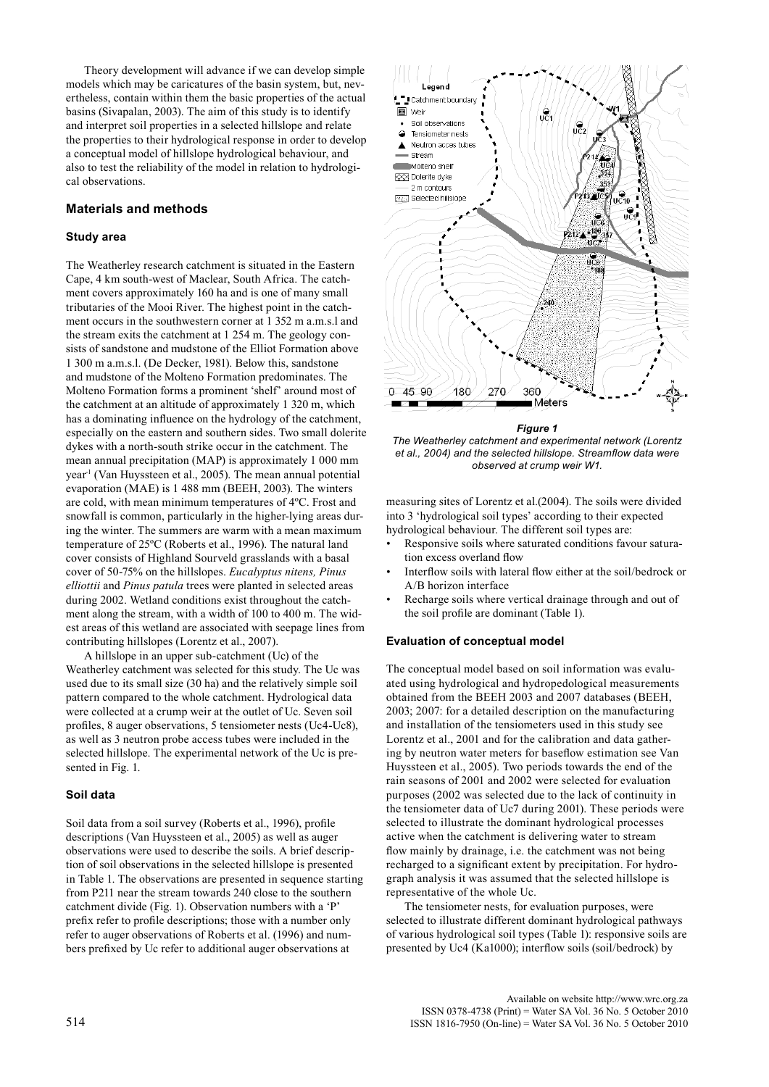Theory development will advance if we can develop simple models which may be caricatures of the basin system, but, nevertheless, contain within them the basic properties of the actual basins (Sivapalan, 2003). The aim of this study is to identify and interpret soil properties in a selected hillslope and relate the properties to their hydrological response in order to develop a conceptual model of hillslope hydrological behaviour, and also to test the reliability of the model in relation to hydrological observations.

# **Materials and methods**

## **Study area**

The Weatherley research catchment is situated in the Eastern Cape, 4 km south-west of Maclear, South Africa. The catchment covers approximately 160 ha and is one of many small tributaries of the Mooi River. The highest point in the catchment occurs in the southwestern corner at 1 352 m a.m.s.l and the stream exits the catchment at 1 254 m. The geology consists of sandstone and mudstone of the Elliot Formation above 1 300 m a.m.s.l. (De Decker, 1981). Below this, sandstone and mudstone of the Molteno Formation predominates. The Molteno Formation forms a prominent 'shelf' around most of the catchment at an altitude of approximately 1 320 m, which has a dominating influence on the hydrology of the catchment, especially on the eastern and southern sides. Two small dolerite dykes with a north-south strike occur in the catchment. The mean annual precipitation (MAP) is approximately 1 000 mm year<sup>1</sup> (Van Huyssteen et al., 2005). The mean annual potential evaporation (MAE) is 1 488 mm (BEEH, 2003). The winters are cold, with mean minimum temperatures of 4ºC. Frost and snowfall is common, particularly in the higher-lying areas during the winter. The summers are warm with a mean maximum temperature of 25ºC (Roberts et al., 1996). The natural land cover consists of Highland Sourveld grasslands with a basal cover of 50-75% on the hillslopes. *Eucalyptus nitens, Pinus elliottii* and *Pinus patula* trees were planted in selected areas during 2002. Wetland conditions exist throughout the catchment along the stream, with a width of 100 to 400 m. The widest areas of this wetland are associated with seepage lines from contributing hillslopes (Lorentz et al., 2007).

A hillslope in an upper sub-catchment (Uc) of the Weatherley catchment was selected for this study. The Uc was used due to its small size (30 ha) and the relatively simple soil pattern compared to the whole catchment. Hydrological data were collected at a crump weir at the outlet of Uc. Seven soil profiles, 8 auger observations, 5 tensiometer nests (Uc4-Uc8), as well as 3 neutron probe access tubes were included in the selected hillslope. The experimental network of the Uc is presented in Fig. 1.

## **Soil data**

Soil data from a soil survey (Roberts et al., 1996), profile descriptions (Van Huyssteen et al., 2005) as well as auger observations were used to describe the soils. A brief description of soil observations in the selected hillslope is presented in Table 1. The observations are presented in sequence starting from P211 near the stream towards 240 close to the southern catchment divide (Fig. 1). Observation numbers with a 'P' prefix refer to profile descriptions; those with a number only refer to auger observations of Roberts et al. (1996) and numbers prefixed by Uc refer to additional auger observations at



*Figure 1* 

*The Weatherley catchment and experimental network (Lorentz et al., 2004) and the selected hillslope. Streamflow data were observed at crump weir W1.*

measuring sites of Lorentz et al.(2004). The soils were divided into 3 'hydrological soil types' according to their expected hydrological behaviour. The different soil types are:

- Responsive soils where saturated conditions favour saturation excess overland flow
- Interflow soils with lateral flow either at the soil/bedrock or A/B horizon interface
- Recharge soils where vertical drainage through and out of the soil profile are dominant (Table 1).

### **Evaluation of conceptual model**

The conceptual model based on soil information was evaluated using hydrological and hydropedological measurements obtained from the BEEH 2003 and 2007 databases (BEEH, 2003; 2007: for a detailed description on the manufacturing and installation of the tensiometers used in this study see Lorentz et al., 2001 and for the calibration and data gathering by neutron water meters for baseflow estimation see Van Huyssteen et al., 2005). Two periods towards the end of the rain seasons of 2001 and 2002 were selected for evaluation purposes (2002 was selected due to the lack of continuity in the tensiometer data of Uc7 during 2001). These periods were selected to illustrate the dominant hydrological processes active when the catchment is delivering water to stream flow mainly by drainage, i.e. the catchment was not being recharged to a significant extent by precipitation. For hydrograph analysis it was assumed that the selected hillslope is representative of the whole Uc.

The tensiometer nests, for evaluation purposes, were selected to illustrate different dominant hydrological pathways of various hydrological soil types (Table 1): responsive soils are presented by Uc4 (Ka1000); interflow soils (soil/bedrock) by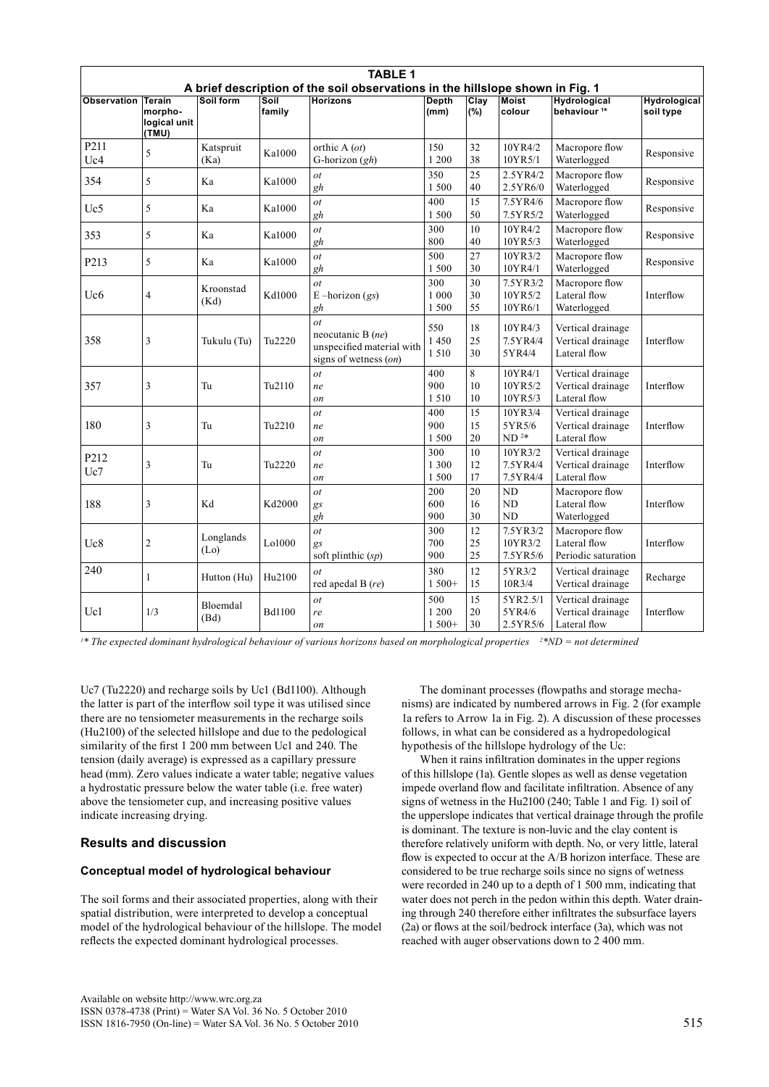| <b>TABLE 1</b><br>A brief description of the soil observations in the hillslope shown in Fig. 1 |                                                   |                                |                    |                                                                                           |                           |                |                                 |                                                        |                                  |  |
|-------------------------------------------------------------------------------------------------|---------------------------------------------------|--------------------------------|--------------------|-------------------------------------------------------------------------------------------|---------------------------|----------------|---------------------------------|--------------------------------------------------------|----------------------------------|--|
| <b>Observation</b>                                                                              | <b>Terain</b><br>morpho-<br>logical unit<br>(TMU) | Soil form                      | Soil<br>family     | <b>Horizons</b>                                                                           | <b>Depth</b><br>(mm)      | Clav<br>$(\%)$ | <b>Moist</b><br>colour          | <b>Hydrological</b><br>behaviour <sup>1*</sup>         | <b>Hydrological</b><br>soil type |  |
| P211<br>Uc4                                                                                     | 5                                                 | Katspruit<br>(Ka)              | Ka1000             | orthic A (ot)<br>G-horizon $(gh)$                                                         | 150<br>1 200              | 32<br>38       | 10YR4/2<br>10YR5/1              | Macropore flow<br>Waterlogged                          | Responsive                       |  |
| 354                                                                                             | 5                                                 | Ka                             | Ka1000             | ot<br>gh                                                                                  | 350<br>1500               | 25<br>40       | 2.5YR4/2<br>2.5YR6/0            | Macropore flow<br>Waterlogged                          | Responsive                       |  |
| Uc5                                                                                             | 5                                                 | Ka                             | Ka1000             | $\overline{ot}$<br>gh                                                                     | 400<br>1500               | 15<br>50       | 7.5YR4/6<br>7.5YR5/2            | Macropore flow<br>Waterlogged                          | Responsive                       |  |
| 353                                                                                             | 5                                                 | Ka                             | Ka1000             | $\overline{ot}$<br>gh                                                                     | 300<br>800                | 10<br>40       | 10YR4/2<br>10YR5/3              | Macropore flow<br>Waterlogged                          | Responsive                       |  |
| P213                                                                                            | 5                                                 | Ka                             | Ka1000             | $\overline{ot}$<br>gh                                                                     | 500<br>1500               | 27<br>30       | 10YR3/2<br>10YR4/1              | Macropore flow<br>Waterlogged                          | Responsive                       |  |
| Uc <sub>6</sub>                                                                                 | $\overline{4}$                                    | Kroonstad<br>(Kd)              | Kd1000             | $\overline{ot}$<br>E – horizon $(gs)$<br>gh                                               | 300<br>1 000<br>1 500     | 30<br>30<br>55 | 7.5YR3/2<br>10YR5/2<br>10YR6/1  | Macropore flow<br>Lateral flow<br>Waterlogged          | Interflow                        |  |
| 358                                                                                             | 3                                                 | Tukulu (Tu)                    | Tu <sub>2220</sub> | $\dot{o}t$<br>neocutanic B $(ne)$<br>unspecified material with<br>signs of wetness $(0n)$ | 550<br>1 4 5 0<br>1 5 1 0 | 18<br>25<br>30 | 10YR4/3<br>7.5YR4/4<br>5YR4/4   | Vertical drainage<br>Vertical drainage<br>Lateral flow | Interflow                        |  |
| 357                                                                                             | 3                                                 | Tu                             | Tu <sub>2110</sub> | $\overline{ot}$<br>ne<br>on                                                               | 400<br>900<br>1 5 1 0     | 8<br>10<br>10  | 10YR4/1<br>10YR5/2<br>10YR5/3   | Vertical drainage<br>Vertical drainage<br>Lateral flow | Interflow                        |  |
| 180                                                                                             | 3                                                 | Tu                             | Tu <sub>2210</sub> | ot<br>ne<br>on                                                                            | 400<br>900<br>1 500       | 15<br>15<br>20 | 10YR3/4<br>5YR5/6<br>$ND2*$     | Vertical drainage<br>Vertical drainage<br>Lateral flow | Interflow                        |  |
| P212<br>Uc7                                                                                     | 3                                                 | Tu                             | Tu <sub>2220</sub> | $\overline{ot}$<br>ne<br>on                                                               | 300<br>1 300<br>1 500     | 10<br>12<br>17 | 10YR3/2<br>7.5YR4/4<br>7.5YR4/4 | Vertical drainage<br>Vertical drainage<br>Lateral flow | Interflow                        |  |
| 188                                                                                             | 3                                                 | Kd                             | Kd2000             | $\overline{ot}$<br>gs<br>gh                                                               | 200<br>600<br>900         | 20<br>16<br>30 | <b>ND</b><br>ND<br><b>ND</b>    | Macropore flow<br>Lateral flow<br>Waterlogged          | Interflow                        |  |
| Uc8                                                                                             | $\overline{c}$                                    | Longlands<br>(L <sub>0</sub> ) | Lo1000             | $\overline{ot}$<br>gs<br>soft plinthic $(sp)$                                             | 300<br>700<br>900         | 12<br>25<br>25 | 7.5YR3/2<br>10YR3/2<br>7.5YR5/6 | Macropore flow<br>Lateral flow<br>Periodic saturation  | Interflow                        |  |
| 240                                                                                             | 1                                                 | Hutton (Hu)                    | Hu2100             | $\overline{ot}$<br>red apedal B (re)                                                      | 380<br>$1500+$            | 12<br>15       | 5YR3/2<br>10R3/4                | Vertical drainage<br>Vertical drainage                 | Recharge                         |  |
| Uc1                                                                                             | 1/3                                               | Bloemdal<br>(Bd)               | <b>Bd1100</b>      | $\overline{ot}$<br>re<br>on                                                               | 500<br>1 200<br>$1500+$   | 15<br>20<br>30 | 5YR2.5/1<br>5YR4/6<br>2.5YR5/6  | Vertical drainage<br>Vertical drainage<br>Lateral flow | Interflow                        |  |

*1 \* The expected dominant hydrological behaviour of various horizons based on morphological properties 2 \*ND = not determined*

Uc7 (Tu2220) and recharge soils by Uc1 (Bd1100). Although the latter is part of the interflow soil type it was utilised since there are no tensiometer measurements in the recharge soils (Hu2100) of the selected hillslope and due to the pedological similarity of the first 1 200 mm between Uc1 and 240. The tension (daily average) is expressed as a capillary pressure head (mm). Zero values indicate a water table; negative values a hydrostatic pressure below the water table (i.e. free water) above the tensiometer cup, and increasing positive values indicate increasing drying.

# **Results and discussion**

# **Conceptual model of hydrological behaviour**

The soil forms and their associated properties, along with their spatial distribution, were interpreted to develop a conceptual model of the hydrological behaviour of the hillslope. The model reflects the expected dominant hydrological processes.

The dominant processes (flowpaths and storage mechanisms) are indicated by numbered arrows in Fig. 2 (for example 1a refers to Arrow 1a in Fig. 2). A discussion of these processes follows, in what can be considered as a hydropedological hypothesis of the hillslope hydrology of the Uc:

When it rains infiltration dominates in the upper regions of this hillslope (1a). Gentle slopes as well as dense vegetation impede overland flow and facilitate infiltration. Absence of any signs of wetness in the Hu2100 (240; Table 1 and Fig. 1) soil of the upperslope indicates that vertical drainage through the profile is dominant. The texture is non-luvic and the clay content is therefore relatively uniform with depth. No, or very little, lateral flow is expected to occur at the A/B horizon interface. These are considered to be true recharge soils since no signs of wetness were recorded in 240 up to a depth of 1 500 mm, indicating that water does not perch in the pedon within this depth. Water draining through 240 therefore either infiltrates the subsurface layers (2a) or flows at the soil/bedrock interface (3a), which was not reached with auger observations down to 2 400 mm.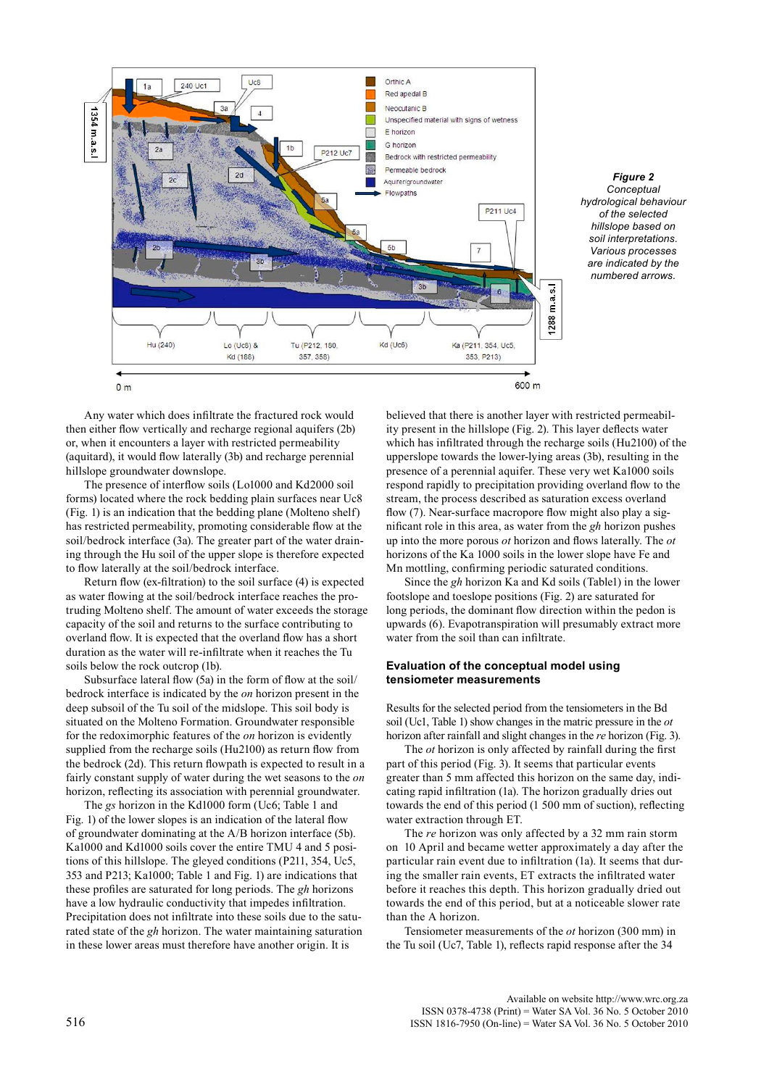

*Figure 2 Conceptual hydrological behaviour of the selected hillslope based on soil interpretations. Various processes are indicated by the numbered arrows.*

Any water which does infiltrate the fractured rock would then either flow vertically and recharge regional aquifers (2b) or, when it encounters a layer with restricted permeability (aquitard), it would flow laterally (3b) and recharge perennial hillslope groundwater downslope.

The presence of interflow soils (Lo1000 and Kd2000 soil forms) located where the rock bedding plain surfaces near Uc8 (Fig. 1) is an indication that the bedding plane (Molteno shelf) has restricted permeability, promoting considerable flow at the soil/bedrock interface (3a). The greater part of the water draining through the Hu soil of the upper slope is therefore expected to flow laterally at the soil/bedrock interface.

Return flow (ex-filtration) to the soil surface (4) is expected as water flowing at the soil/bedrock interface reaches the protruding Molteno shelf. The amount of water exceeds the storage capacity of the soil and returns to the surface contributing to overland flow. It is expected that the overland flow has a short duration as the water will re-infiltrate when it reaches the Tu soils below the rock outcrop (1b).

Subsurface lateral flow (5a) in the form of flow at the soil/ bedrock interface is indicated by the *on* horizon present in the deep subsoil of the Tu soil of the midslope. This soil body is situated on the Molteno Formation. Groundwater responsible for the redoximorphic features of the *on* horizon is evidently supplied from the recharge soils (Hu2100) as return flow from the bedrock (2d). This return flowpath is expected to result in a fairly constant supply of water during the wet seasons to the *on*  horizon, reflecting its association with perennial groundwater.

The *gs* horizon in the Kd1000 form (Uc6; Table 1 and Fig. 1) of the lower slopes is an indication of the lateral flow of groundwater dominating at the A/B horizon interface (5b). Ka1000 and Kd1000 soils cover the entire TMU 4 and 5 positions of this hillslope. The gleyed conditions (P211, 354, Uc5, 353 and P213; Ka1000; Table 1 and Fig. 1) are indications that these profiles are saturated for long periods. The *gh* horizons have a low hydraulic conductivity that impedes infiltration. Precipitation does not infiltrate into these soils due to the saturated state of the *gh* horizon. The water maintaining saturation in these lower areas must therefore have another origin. It is

believed that there is another layer with restricted permeability present in the hillslope (Fig. 2). This layer deflects water which has infiltrated through the recharge soils (Hu2100) of the upperslope towards the lower-lying areas (3b), resulting in the presence of a perennial aquifer. These very wet Ka1000 soils respond rapidly to precipitation providing overland flow to the stream, the process described as saturation excess overland flow (7). Near-surface macropore flow might also play a significant role in this area, as water from the *gh* horizon pushes up into the more porous *ot* horizon and flows laterally. The *ot*  horizons of the Ka 1000 soils in the lower slope have Fe and Mn mottling, confirming periodic saturated conditions.

Since the *gh* horizon Ka and Kd soils (Table1) in the lower footslope and toeslope positions (Fig. 2) are saturated for long periods, the dominant flow direction within the pedon is upwards (6). Evapotranspiration will presumably extract more water from the soil than can infiltrate.

# **Evaluation of the conceptual model using tensiometer measurements**

Results for the selected period from the tensiometers in the Bd soil (Uc1, Table 1) show changes in the matric pressure in the *ot*  horizon after rainfall and slight changes in the *re* horizon (Fig. 3).

The *ot* horizon is only affected by rainfall during the first part of this period (Fig. 3). It seems that particular events greater than 5 mm affected this horizon on the same day, indicating rapid infiltration (1a). The horizon gradually dries out towards the end of this period (1 500 mm of suction), reflecting water extraction through ET.

The *re* horizon was only affected by a 32 mm rain storm on 10 April and became wetter approximately a day after the particular rain event due to infiltration (1a). It seems that during the smaller rain events, ET extracts the infiltrated water before it reaches this depth. This horizon gradually dried out towards the end of this period, but at a noticeable slower rate than the A horizon.

Tensiometer measurements of the *ot* horizon (300 mm) in the Tu soil (Uc7, Table 1), reflects rapid response after the 34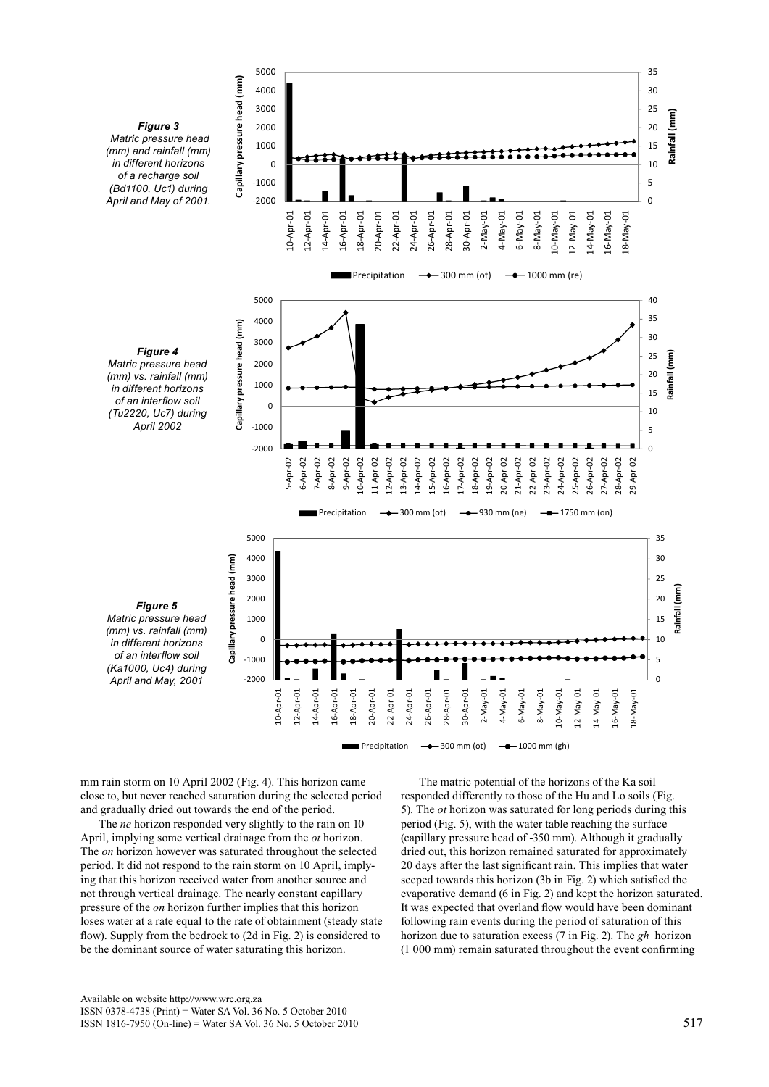

mm rain storm on 10 April 2002 (Fig. 4). This horizon came close to, but never reached saturation during the selected period and gradually dried out towards the end of the period.

The *ne* horizon responded very slightly to the rain on 10 April, implying some vertical drainage from the *ot* horizon. The *on* horizon however was saturated throughout the selected period. It did not respond to the rain storm on 10 April, implying that this horizon received water from another source and not through vertical drainage. The nearly constant capillary pressure of the *on* horizon further implies that this horizon loses water at a rate equal to the rate of obtainment (steady state flow). Supply from the bedrock to (2d in Fig. 2) is considered to be the dominant source of water saturating this horizon.

The matric potential of the horizons of the Ka soil responded differently to those of the Hu and Lo soils (Fig. 5). The *ot* horizon was saturated for long periods during this period (Fig. 5), with the water table reaching the surface (capillary pressure head of -350 mm). Although it gradually dried out, this horizon remained saturated for approximately 20 days after the last significant rain. This implies that water seeped towards this horizon (3b in Fig. 2) which satisfied the evaporative demand (6 in Fig. 2) and kept the horizon saturated. It was expected that overland flow would have been dominant following rain events during the period of saturation of this horizon due to saturation excess (7 in Fig. 2). The *gh* horizon (1 000 mm) remain saturated throughout the event confirming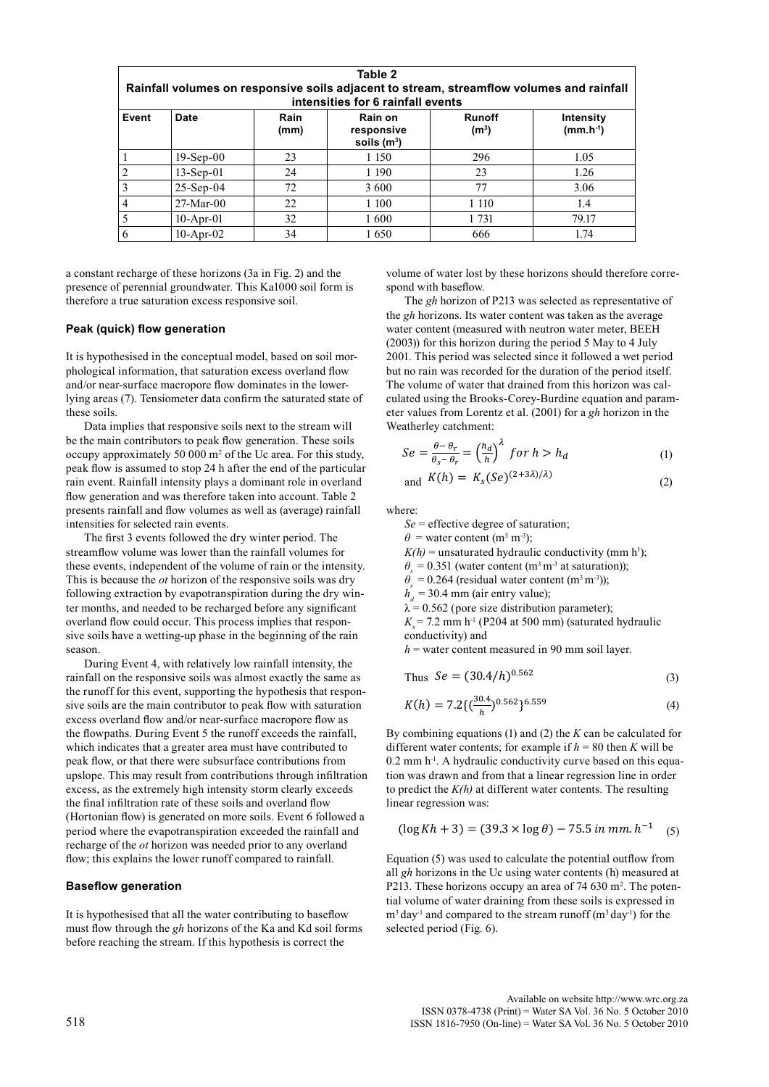| Table 2<br>Rainfall volumes on responsive soils adjacent to stream, streamflow volumes and rainfall<br>intensities for 6 rainfall events |              |              |                                        |                                    |                            |  |  |  |  |  |
|------------------------------------------------------------------------------------------------------------------------------------------|--------------|--------------|----------------------------------------|------------------------------------|----------------------------|--|--|--|--|--|
| Event                                                                                                                                    | Date         | Rain<br>(mm) | Rain on<br>responsive<br>soils $(m^3)$ | <b>Runoff</b><br>(m <sup>3</sup> ) | Intensity<br>$(mm.h^{-1})$ |  |  |  |  |  |
|                                                                                                                                          | $19-Sep-00$  | 23           | 1 1 5 0                                | 296                                | 1.05                       |  |  |  |  |  |
| $\mathfrak{D}$                                                                                                                           | $13-Sep-01$  | 24           | 1 1 9 0                                | 23                                 | 1.26                       |  |  |  |  |  |
|                                                                                                                                          | $25-Sep-04$  | 72           | 3 600                                  | 77                                 | 3.06                       |  |  |  |  |  |
|                                                                                                                                          | $27-Mar-00$  | 22           | 1 100                                  | 1 1 1 0                            | 1.4                        |  |  |  |  |  |
|                                                                                                                                          | $10$ -Apr-01 | 32           | 1600                                   | 1 7 3 1                            | 79.17                      |  |  |  |  |  |
| 6                                                                                                                                        | $10$ -Apr-02 | 34           | 1650                                   | 666                                | 1.74                       |  |  |  |  |  |

a constant recharge of these horizons (3a in Fig. 2) and the presence of perennial groundwater. This Ka1000 soil form is therefore a true saturation excess responsive soil.

### **Peak (quick) flow generation**

It is hypothesised in the conceptual model, based on soil morphological information, that saturation excess overland flow and/or near-surface macropore flow dominates in the lowerlying areas (7). Tensiometer data confirm the saturated state of these soils.

Data implies that responsive soils next to the stream will be the main contributors to peak flow generation. These soils occupy approximately 50 000  $m<sup>2</sup>$  of the Uc area. For this study, peak flow is assumed to stop 24 h after the end of the particular rain event. Rainfall intensity plays a dominant role in overland flow generation and was therefore taken into account. Table 2 presents rainfall and flow volumes as well as (average) rainfall intensities for selected rain events.

The first 3 events followed the dry winter period. The streamflow volume was lower than the rainfall volumes for these events, independent of the volume of rain or the intensity. This is because the *ot* horizon of the responsive soils was dry following extraction by evapotranspiration during the dry winter months, and needed to be recharged before any significant overland flow could occur. This process implies that responsive soils have a wetting-up phase in the beginning of the rain season.

During Event 4, with relatively low rainfall intensity, the rainfall on the responsive soils was almost exactly the same as the runoff for this event, supporting the hypothesis that responsive soils are the main contributor to peak flow with saturation excess overland flow and/or near-surface macropore flow as the flowpaths. During Event 5 the runoff exceeds the rainfall, which indicates that a greater area must have contributed to peak flow, or that there were subsurface contributions from upslope. This may result from contributions through infiltration excess, as the extremely high intensity storm clearly exceeds the final infiltration rate of these soils and overland flow (Hortonian flow) is generated on more soils. Event 6 followed a period where the evapotranspiration exceeded the rainfall and recharge of the *ot* horizon was needed prior to any overland flow; this explains the lower runoff compared to rainfall.

### **Baseflow generation**

It is hypothesised that all the water contributing to baseflow must flow through the *gh* horizons of the Ka and Kd soil forms before reaching the stream. If this hypothesis is correct the

volume of water lost by these horizons should therefore correspond with baseflow.

The *gh* horizon of P213 was selected as representative of the *gh* horizons. Its water content was taken as the average water content (measured with neutron water meter, BEEH (2003)) for this horizon during the period 5 May to 4 July 2001. This period was selected since it followed a wet period but no rain was recorded for the duration of the period itself. The volume of water that drained from this horizon was calculated using the Brooks-Corey-Burdine equation and parameter values from Lorentz et al. (2001) for a *gh* horizon in the Weatherley catchment:

$$
Se = \frac{\theta - \theta_r}{\theta_s - \theta_r} = \left(\frac{h_d}{h}\right)^{\lambda} for h > h_d
$$
 (1)

$$
and K(h) = Ks(Se)^{(2+3\lambda)/\lambda}
$$
 (2)

where:

*Se* = effective degree of saturation;

 $\theta$  = water content (m<sup>3</sup> m<sup>-3</sup>);

 $K(h)$  = unsaturated hydraulic conductivity (mm h<sup>1</sup>);

 $\theta$  = 0.351 (water content (m<sup>3</sup> m<sup>-3</sup> at saturation));

 $\theta$ <sup>*r*</sup> = 0.264 (residual water content (m<sup>3</sup> m<sup>-3</sup>));

 $h_d$  = 30.4 mm (air entry value);

 $\lambda$  = 0.562 (pore size distribution parameter);

 $K = 7.2$  mm h<sup>-1</sup> (P204 at 500 mm) (saturated hydraulic conductivity) and

 $h$  = water content measured in 90 mm soil layer.

Thus 
$$
Se = (30.4/h)^{0.562}
$$
 (3)

$$
K(h) = 7.2\left\{\left(\frac{30.4}{h}\right)^{0.562}\right\}^{6.559}
$$
 (4)

By combining equations (1) and (2) the *K* can be calculated for different water contents; for example if  $h = 80$  then *K* will be  $0.2$  mm h<sup>-1</sup>. A hydraulic conductivity curve based on this equation was drawn and from that a linear regression line in order to predict the *K(h)* at different water contents. The resulting linear regression was:

$$
(\log Kh + 3) = (39.3 \times \log \theta) - 75.5 \text{ in } \text{mm. } h^{-1} \quad (5)
$$

Equation (5) was used to calculate the potential outflow from all *gh* horizons in the Uc using water contents (h) measured at P213. These horizons occupy an area of 74 630 m<sup>2</sup>. The potential volume of water draining from these soils is expressed in  $m<sup>3</sup>$  day<sup>-1</sup> and compared to the stream runoff ( $m<sup>3</sup>$  day<sup>-1</sup>) for the selected period (Fig. 6).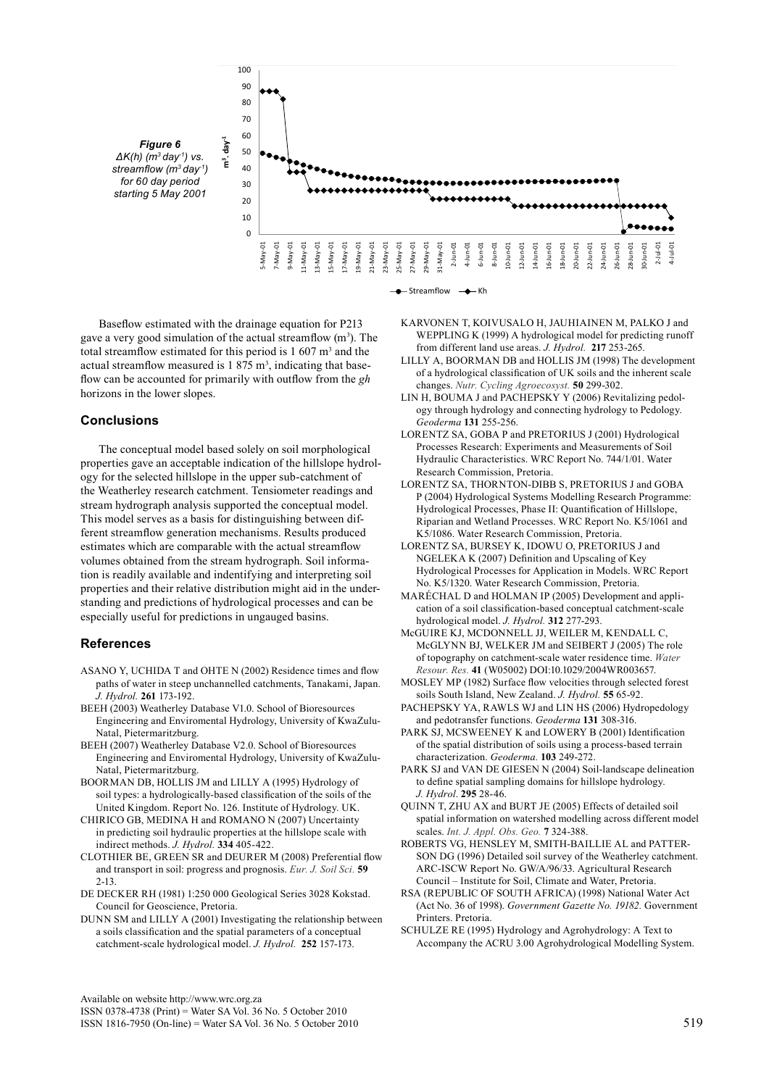

Baseflow estimated with the drainage equation for P213 gave a very good simulation of the actual streamflow  $(m^3)$ . The total streamflow estimated for this period is  $1\,607\,\mathrm{m}^3$  and the actual streamflow measured is  $1,875 \text{ m}^3$ , indicating that baseflow can be accounted for primarily with outflow from the *gh*  horizons in the lower slopes.

# **Conclusions**

The conceptual model based solely on soil morphological properties gave an acceptable indication of the hillslope hydrology for the selected hillslope in the upper sub-catchment of the Weatherley research catchment. Tensiometer readings and stream hydrograph analysis supported the conceptual model. This model serves as a basis for distinguishing between different streamflow generation mechanisms. Results produced estimates which are comparable with the actual streamflow volumes obtained from the stream hydrograph. Soil information is readily available and indentifying and interpreting soil properties and their relative distribution might aid in the understanding and predictions of hydrological processes and can be especially useful for predictions in ungauged basins.

# **References**

- ASANO Y, UCHIDA T and OHTE N (2002) Residence times and flow paths of water in steep unchannelled catchments, Tanakami, Japan. *J. Hydrol.* **261** 173-192.
- BEEH (2003) Weatherley Database V1.0. School of Bioresources Engineering and Enviromental Hydrology, University of KwaZulu-Natal, Pietermaritzburg.
- BEEH (2007) Weatherley Database V2.0. School of Bioresources Engineering and Enviromental Hydrology, University of KwaZulu-Natal, Pietermaritzburg.
- BOORMAN DB, HOLLIS JM and LILLY A (1995) Hydrology of soil types: a hydrologically-based classification of the soils of the United Kingdom. Report No. 126. Institute of Hydrology. UK.
- CHIRICO GB, MEDINA H and ROMANO N (2007) Uncertainty in predicting soil hydraulic properties at the hillslope scale with indirect methods. *J. Hydrol.* **334** 405-422.
- CLOTHIER BE, GREEN SR and DEURER M (2008) Preferential flow and transport in soil: progress and prognosis. *Eur. J. Soil Sci.* **59** 2-13.
- DE DECKER RH (1981) 1:250 000 Geological Series 3028 Kokstad. Council for Geoscience, Pretoria.
- DUNN SM and LILLY A (2001) Investigating the relationship between a soils classification and the spatial parameters of a conceptual catchment-scale hydrological model. *J. Hydrol.* **252** 157-173.
- Karvonen T, Koivusalo H, Jauhiainen M, Palko J and WEPPLING K (1999) A hydrological model for predicting runoff from different land use areas. *J. Hydrol.* **217** 253-265.
- LILLY A, BOORMAN DB and HOLLIS JM (1998) The development of a hydrological classification of UK soils and the inherent scale changes. *Nutr. Cycling Agroecosyst.* **50** 299-302.
- LIN H, BOUMA J and PACHEPSKY Y (2006) Revitalizing pedology through hydrology and connecting hydrology to Pedology. *Geoderma* **131** 255-256.
- LORENTZ SA, GOBA P and PRETORIUS J (2001) Hydrological Processes Research: Experiments and Measurements of Soil Hydraulic Characteristics. WRC Report No. 744/1/01. Water Research Commission, Pretoria.
- Lorentz SA, Thornton-Dibb S, Pretorius J and Goba P (2004) Hydrological Systems Modelling Research Programme: Hydrological Processes, Phase II: Quantification of Hillslope, Riparian and Wetland Processes. WRC Report No. K5/1061 and K5/1086. Water Research Commission, Pretoria.
- LORENTZ SA, BURSEY K, IDOWU O, PRETORIUS J and NGELEKA K (2007) Definition and Upscaling of Key Hydrological Processes for Application in Models. WRC Report No. K5/1320. Water Research Commission, Pretoria.
- MARéCHAL D and HOLMAN IP (2005) Development and application of a soil classification-based conceptual catchment-scale hydrological model. *J. Hydrol.* **312** 277-293.
- McGuire KJ, McDonnell JJ, Weiler M, Kendall C, McGlynn BJ, Welker JM and Seibert J (2005) The role of topography on catchment-scale water residence time. *Water Resour. Res.* **41** (W05002) DOI:10.1029/2004WR003657.
- Mosley MP (1982) Surface flow velocities through selected forest soils South Island, New Zealand. *J. Hydrol.* **55** 65-92.
- PACHEPSKY YA, RAWLS WJ and LIN HS (2006) Hydropedology and pedotransfer functions. *Geoderma* **131** 308-316.
- PARK SJ, MCSWEENEY K and LOWERY B (2001) Identification of the spatial distribution of soils using a process-based terrain characterization. *Geoderma.* **103** 249-272.
- PARK SJ and VAN DE GIESEN N (2004) Soil-landscape delineation to define spatial sampling domains for hillslope hydrology. *J. Hydrol*. **295** 28-46.
- QUINN T, ZHU AX and BURT JE (2005) Effects of detailed soil spatial information on watershed modelling across different model scales. *Int. J. Appl. Obs. Geo.* **7** 324-388.
- ROBERTS VG, HENSLEY M, SMITH-BAILLIE AL and PATTER-SON DG (1996) Detailed soil survey of the Weatherley catchment. ARC-ISCW Report No. GW/A/96/33. Agricultural Research Council – Institute for Soil, Climate and Water, Pretoria.
- RSA (REPUBLIC OF SOUTH AFRICA) (1998) National Water Act (Act No. 36 of 1998). *Government Gazette No. 19182.* Government printers. Pretoria.
- SCHULZE RE (1995) Hydrology and Agrohydrology: A Text to Accompany the ACRU 3.00 Agrohydrological Modelling System.